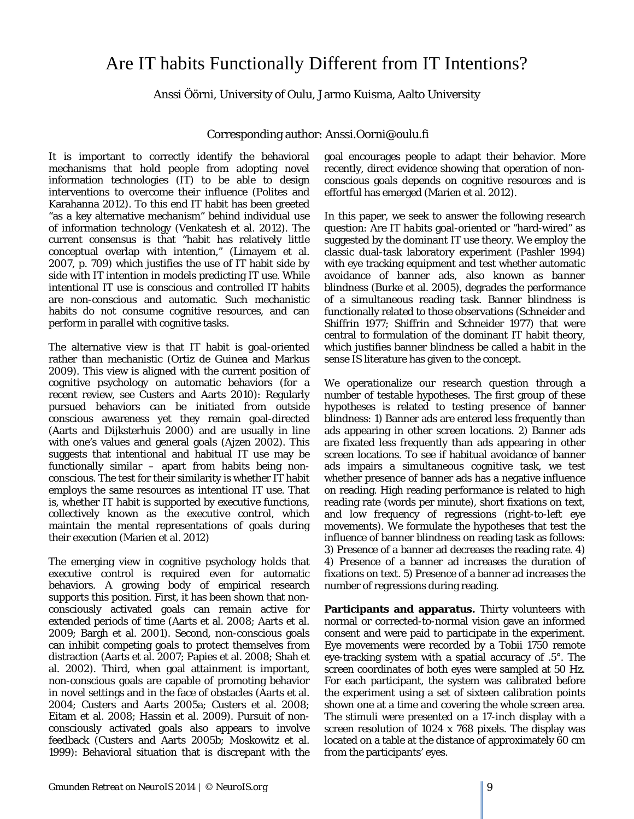## Are IT habits Functionally Different from IT Intentions?

Anssi Öörni, University of Oulu, Jarmo Kuisma, Aalto University

Corresponding author: Anssi.Oorni@oulu.fi

It is important to correctly identify the behavioral mechanisms that hold people from adopting novel information technologies (IT) to be able to design interventions to overcome their influence (Polites and Karahanna 2012). To this end IT habit has been greeted "as a key alternative mechanism" behind individual use of information technology (Venkatesh et al. 2012). The current consensus is that "habit has relatively little conceptual overlap with intention," (Limayem et al. 2007, p. 709) which justifies the use of IT habit side by side with IT intention in models predicting IT use. While intentional IT use is conscious and controlled IT habits are non-conscious and automatic. Such mechanistic habits do not consume cognitive resources, and can perform in parallel with cognitive tasks.

The alternative view is that IT habit is goal-oriented rather than mechanistic (Ortiz de Guinea and Markus 2009). This view is aligned with the current position of cognitive psychology on automatic behaviors (for a recent review, see Custers and Aarts 2010): Regularly pursued behaviors can be initiated from outside conscious awareness yet they remain goal-directed (Aarts and Dijksterhuis 2000) and are usually in line with one's values and general goals (Ajzen 2002). This suggests that intentional and habitual IT use may be functionally similar – apart from habits being nonconscious. The test for their similarity is whether IT habit employs the same resources as intentional IT use. That is, whether IT habit is supported by *executive functions*, collectively known as the *executive control*, which maintain the mental representations of goals during their execution (Marien et al. 2012)

The emerging view in cognitive psychology holds that executive control is required even for automatic behaviors. A growing body of empirical research supports this position. First, it has been shown that nonconsciously activated goals can remain active for extended periods of time (Aarts et al. 2008; Aarts et al. 2009; Bargh et al. 2001). Second, non-conscious goals can inhibit competing goals to protect themselves from distraction (Aarts et al. 2007; Papies et al. 2008; Shah et al. 2002). Third, when goal attainment is important, non-conscious goals are capable of promoting behavior in novel settings and in the face of obstacles (Aarts et al. 2004; Custers and Aarts 2005a; Custers et al. 2008; Eitam et al. 2008; Hassin et al. 2009). Pursuit of nonconsciously activated goals also appears to involve feedback (Custers and Aarts 2005b; Moskowitz et al. 1999): Behavioral situation that is discrepant with the goal encourages people to adapt their behavior. More recently, direct evidence showing that operation of nonconscious goals depends on cognitive resources and is effortful has emerged (Marien et al. 2012).

In this paper, we seek to answer the following research question: Are *IT habits* goal-oriented or "hard-wired" as suggested by the dominant IT use theory. We employ the classic dual-task laboratory experiment (Pashler 1994) with eye tracking equipment and test whether automatic avoidance of banner ads, also known as *banner blindness* (Burke et al. 2005), degrades the performance of a simultaneous reading task. Banner blindness is functionally related to those observations (Schneider and Shiffrin 1977; Shiffrin and Schneider 1977) that were central to formulation of the dominant IT habit theory, which justifies banner blindness be called a *habit* in the sense IS literature has given to the concept.

We operationalize our research question through a number of testable hypotheses. The first group of these hypotheses is related to testing presence of banner blindness: 1) Banner ads are entered less frequently than ads appearing in other screen locations. 2) Banner ads are fixated less frequently than ads appearing in other screen locations. To see if habitual avoidance of banner ads impairs a simultaneous cognitive task, we test whether presence of banner ads has a negative influence on reading. High reading performance is related to high reading rate (words per minute), short fixations on text, and low frequency of regressions (right-to-left eye movements). We formulate the hypotheses that test the influence of banner blindness on reading task as follows: 3) Presence of a banner ad decreases the reading rate. 4) 4) Presence of a banner ad increases the duration of fixations on text. 5) Presence of a banner ad increases the number of regressions during reading.

**Participants and apparatus.** Thirty volunteers with normal or corrected-to-normal vision gave an informed consent and were paid to participate in the experiment. Eye movements were recorded by a Tobii 1750 remote eye-tracking system with a spatial accuracy of .5°. The screen coordinates of both eyes were sampled at 50 Hz. For each participant, the system was calibrated before the experiment using a set of sixteen calibration points shown one at a time and covering the whole screen area. The stimuli were presented on a 17-inch display with a screen resolution of 1024 x 768 pixels. The display was located on a table at the distance of approximately 60 cm from the participants' eyes.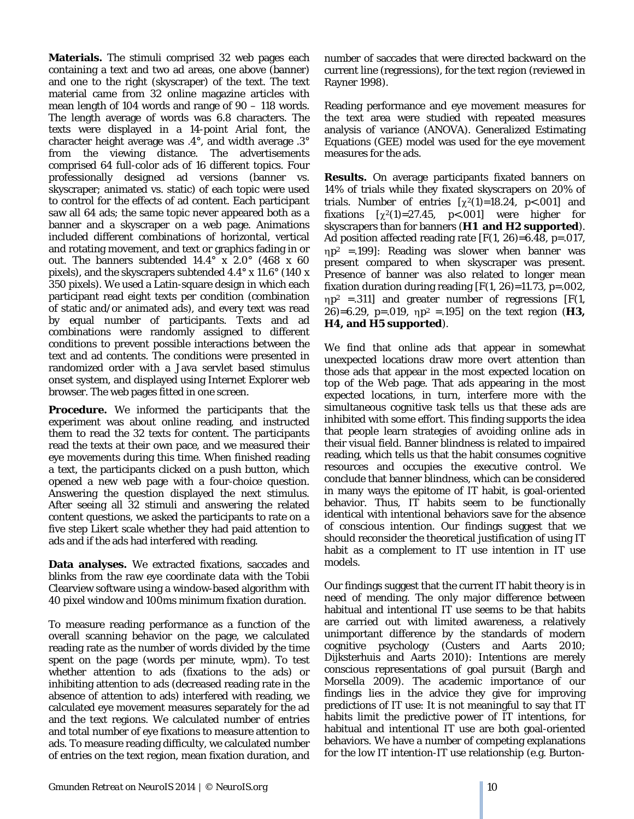**Materials.** The stimuli comprised 32 web pages each containing a text and two ad areas, one above (banner) and one to the right (skyscraper) of the text. The text material came from 32 online magazine articles with mean length of 104 words and range of 90 – 118 words. The length average of words was 6.8 characters. The texts were displayed in a 14-point Arial font, the character height average was .4°, and width average .3° from the viewing distance. The advertisements comprised 64 full-color ads of 16 different topics. Four professionally designed ad versions (banner vs. skyscraper; animated vs. static) of each topic were used to control for the effects of ad content. Each participant saw all 64 ads; the same topic never appeared both as a banner and a skyscraper on a web page. Animations included different combinations of horizontal, vertical and rotating movement, and text or graphics fading in or out. The banners subtended 14.4° x 2.0° (468 x 60 pixels), and the skyscrapers subtended 4.4° x 11.6° (140 x 350 pixels). We used a Latin-square design in which each participant read eight texts per condition (combination of static and/or animated ads), and every text was read by equal number of participants. Texts and ad combinations were randomly assigned to different conditions to prevent possible interactions between the text and ad contents. The conditions were presented in randomized order with a Java servlet based stimulus onset system, and displayed using Internet Explorer web browser. The web pages fitted in one screen.

**Procedure.** We informed the participants that the experiment was about online reading, and instructed them to read the 32 texts for content. The participants read the texts at their own pace, and we measured their eye movements during this time. When finished reading a text, the participants clicked on a push button, which opened a new web page with a four-choice question. Answering the question displayed the next stimulus. After seeing all 32 stimuli and answering the related content questions, we asked the participants to rate on a five step Likert scale whether they had paid attention to ads and if the ads had interfered with reading.

**Data analyses.** We extracted fixations, saccades and blinks from the raw eye coordinate data with the Tobii Clearview software using a window-based algorithm with 40 pixel window and 100ms minimum fixation duration.

To measure reading performance as a function of the overall scanning behavior on the page, we calculated reading rate as the number of words divided by the time spent on the page (words per minute, wpm). To test whether attention to ads (fixations to the ads) or inhibiting attention to ads (decreased reading rate in the absence of attention to ads) interfered with reading, we calculated eye movement measures separately for the ad and the text regions. We calculated number of entries and total number of eye fixations to measure attention to ads. To measure reading difficulty, we calculated number of entries on the text region, mean fixation duration, and

number of saccades that were directed backward on the current line (regressions), for the text region (reviewed in Rayner 1998).

Reading performance and eye movement measures for the text area were studied with repeated measures analysis of variance (ANOVA). Generalized Estimating Equations (GEE) model was used for the eye movement measures for the ads.

**Results.** On average participants fixated banners on 14% of trials while they fixated skyscrapers on 20% of trials. Number of entries  $[\chi^2(1)=18.24, p<0.001]$  and fixations  $[\chi^2(1)=27.45, p<0.001]$  were higher for skyscrapers than for banners (**H1 and H2 supported**). Ad position affected reading rate  $[F(1, 26)=6.48, p=.017,$ ηp2 =.199]: Reading was slower when banner was present compared to when skyscraper was present. Presence of banner was also related to longer mean fixation duration during reading  $[F(1, 26)=11.73, p=.002,$  $\eta p^2$  =.311] and greater number of regressions [F(1, 26)=6.29, p=.019,  $np^2 = 195$  on the text region (**H3**, **H4, and H5 supported**).

We find that online ads that appear in somewhat unexpected locations draw more overt attention than those ads that appear in the most expected location on top of the Web page. That ads appearing in the most expected locations, in turn, interfere more with the simultaneous cognitive task tells us that these ads are inhibited with some effort. This finding supports the idea that people learn strategies of avoiding online ads in their visual field. Banner blindness is related to impaired reading, which tells us that the habit consumes cognitive resources and occupies the *executive control*. We conclude that banner blindness, which can be considered in many ways the epitome of IT habit, is goal-oriented behavior. Thus, IT habits seem to be functionally identical with intentional behaviors save for the absence of conscious intention. Our findings suggest that we should reconsider the theoretical justification of using IT habit as a complement to IT use intention in IT use models.

Our findings suggest that the current IT habit theory is in need of mending. The only major difference between habitual and intentional IT use seems to be that habits are carried out with limited awareness, a relatively unimportant difference by the standards of modern cognitive psychology (Custers and Aarts 2010; Dijksterhuis and Aarts 2010): Intentions are merely conscious representations of goal pursuit (Bargh and Morsella 2009). The academic importance of our findings lies in the advice they give for improving predictions of IT use: It is not meaningful to say that IT habits limit the predictive power of IT intentions, for habitual and intentional IT use are both goal-oriented behaviors. We have a number of competing explanations for the low IT intention-IT use relationship (e.g. Burton